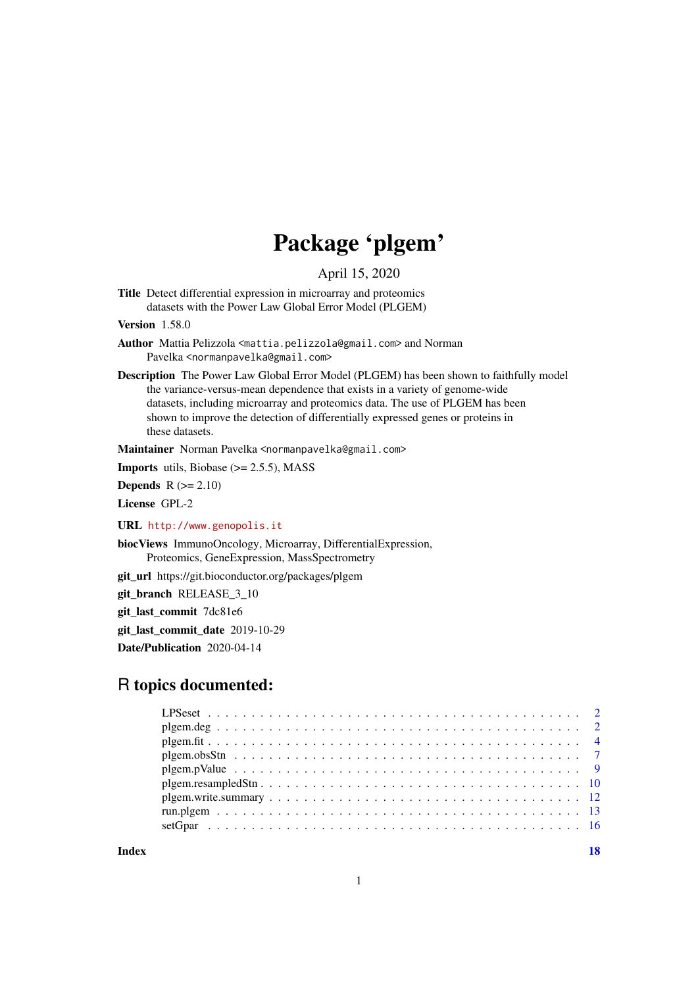# Package 'plgem'

April 15, 2020

<span id="page-0-0"></span>Title Detect differential expression in microarray and proteomics datasets with the Power Law Global Error Model (PLGEM)

Version 1.58.0

Author Mattia Pelizzola <mattia.pelizzola@gmail.com> and Norman Pavelka <normanpavelka@gmail.com>

Description The Power Law Global Error Model (PLGEM) has been shown to faithfully model the variance-versus-mean dependence that exists in a variety of genome-wide datasets, including microarray and proteomics data. The use of PLGEM has been shown to improve the detection of differentially expressed genes or proteins in these datasets.

Maintainer Norman Pavelka <normanpavelka@gmail.com>

**Imports** utils, Biobase  $(>= 2.5.5)$ , MASS

**Depends**  $R$  ( $>= 2.10$ )

License GPL-2

URL <http://www.genopolis.it>

biocViews ImmunoOncology, Microarray, DifferentialExpression, Proteomics, GeneExpression, MassSpectrometry

git\_url https://git.bioconductor.org/packages/plgem

git\_branch RELEASE\_3\_10

git\_last\_commit 7dc81e6

git last commit date 2019-10-29

Date/Publication 2020-04-14

# R topics documented:

**Index** and the contract of the contract of the contract of the contract of the contract of the contract of the contract of the contract of the contract of the contract of the contract of the contract of the contract of th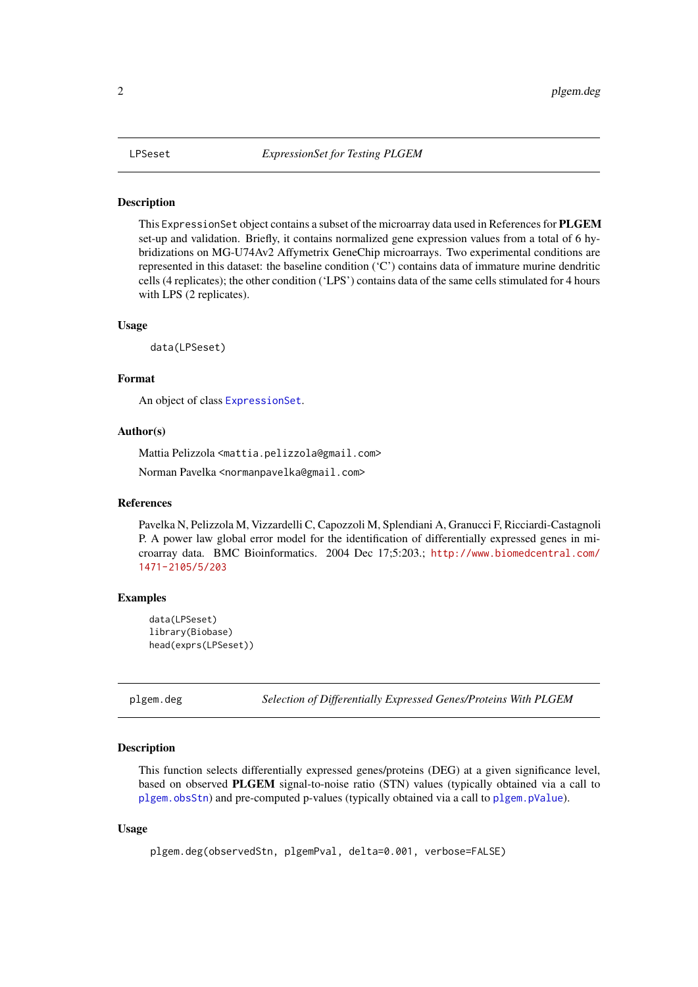<span id="page-1-0"></span>This ExpressionSet object contains a subset of the microarray data used in References for PLGEM set-up and validation. Briefly, it contains normalized gene expression values from a total of 6 hybridizations on MG-U74Av2 Affymetrix GeneChip microarrays. Two experimental conditions are represented in this dataset: the baseline condition ('C') contains data of immature murine dendritic cells (4 replicates); the other condition ('LPS') contains data of the same cells stimulated for 4 hours with LPS (2 replicates).

# Usage

data(LPSeset)

# Format

An object of class [ExpressionSet](#page-0-0).

# Author(s)

Mattia Pelizzola <mattia.pelizzola@gmail.com> Norman Pavelka <normanpavelka@gmail.com>

#### References

Pavelka N, Pelizzola M, Vizzardelli C, Capozzoli M, Splendiani A, Granucci F, Ricciardi-Castagnoli P. A power law global error model for the identification of differentially expressed genes in microarray data. BMC Bioinformatics. 2004 Dec 17;5:203.; [http://www.biomedcentral.com/](http://www.biomedcentral.com/1471-2105/5/203) [1471-2105/5/203](http://www.biomedcentral.com/1471-2105/5/203)

#### Examples

```
data(LPSeset)
library(Biobase)
head(exprs(LPSeset))
```
<span id="page-1-1"></span>plgem.deg *Selection of Differentially Expressed Genes/Proteins With PLGEM*

#### Description

This function selects differentially expressed genes/proteins (DEG) at a given significance level, based on observed PLGEM signal-to-noise ratio (STN) values (typically obtained via a call to [plgem.obsStn](#page-6-1)) and pre-computed p-values (typically obtained via a call to [plgem.pValue](#page-8-1)).

# Usage

```
plgem.deg(observedStn, plgemPval, delta=0.001, verbose=FALSE)
```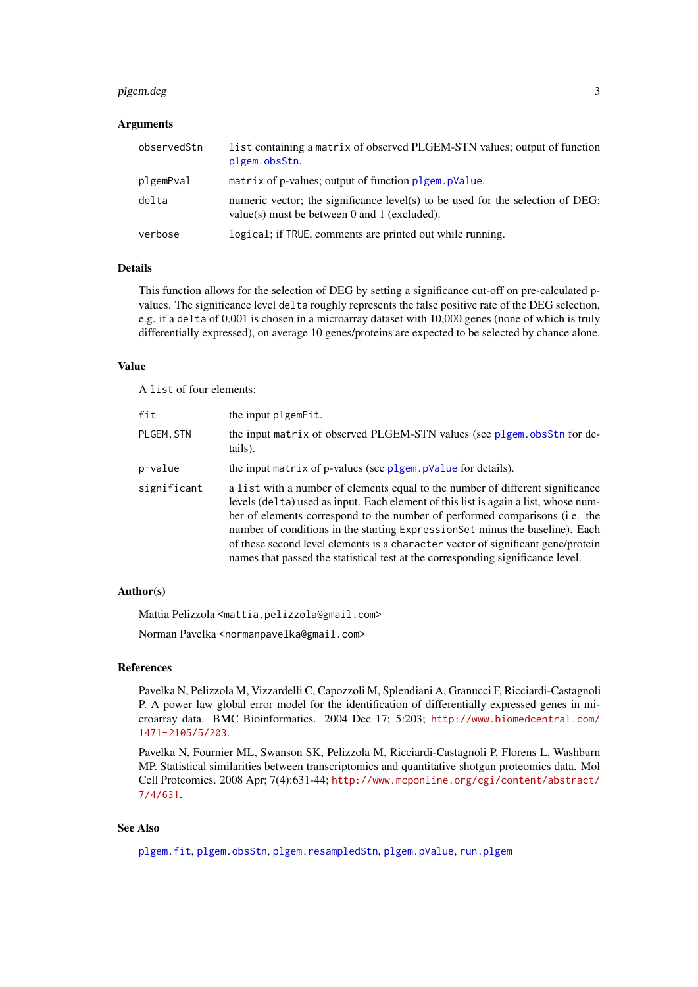#### <span id="page-2-0"></span>plgem.deg 3

# Arguments

| observedStn | list containing a matrix of observed PLGEM-STN values; output of function<br>plgem.obsStn.                                     |
|-------------|--------------------------------------------------------------------------------------------------------------------------------|
| plgemPval   | matrix of p-values; output of function plgem. pValue.                                                                          |
| delta       | numeric vector; the significance level(s) to be used for the selection of DEG;<br>value(s) must be between 0 and 1 (excluded). |
| verbose     | logical; if TRUE, comments are printed out while running.                                                                      |

# Details

This function allows for the selection of DEG by setting a significance cut-off on pre-calculated pvalues. The significance level delta roughly represents the false positive rate of the DEG selection, e.g. if a delta of 0.001 is chosen in a microarray dataset with 10,000 genes (none of which is truly differentially expressed), on average 10 genes/proteins are expected to be selected by chance alone.

# Value

A list of four elements:

| fit         | the input plgemFit.                                                                                                                                                                                                                                                                                                                                                                                                                                                                                         |
|-------------|-------------------------------------------------------------------------------------------------------------------------------------------------------------------------------------------------------------------------------------------------------------------------------------------------------------------------------------------------------------------------------------------------------------------------------------------------------------------------------------------------------------|
| PLGEM. STN  | the input matrix of observed PLGEM-STN values (see plgem. obsStn for de-<br>tails).                                                                                                                                                                                                                                                                                                                                                                                                                         |
| p-value     | the input matrix of p-values (see plgem. pValue for details).                                                                                                                                                                                                                                                                                                                                                                                                                                               |
| significant | a list with a number of elements equal to the number of different significance<br>levels (delta) used as input. Each element of this list is again a list, whose num-<br>ber of elements correspond to the number of performed comparisons (i.e. the<br>number of conditions in the starting ExpressionSet minus the baseline). Each<br>of these second level elements is a character vector of significant gene/protein<br>names that passed the statistical test at the corresponding significance level. |

#### Author(s)

Mattia Pelizzola <mattia.pelizzola@gmail.com>

Norman Pavelka <normanpavelka@gmail.com>

#### References

Pavelka N, Pelizzola M, Vizzardelli C, Capozzoli M, Splendiani A, Granucci F, Ricciardi-Castagnoli P. A power law global error model for the identification of differentially expressed genes in microarray data. BMC Bioinformatics. 2004 Dec 17; 5:203; [http://www.biomedcentral.com/](http://www.biomedcentral.com/1471-2105/5/203) [1471-2105/5/203](http://www.biomedcentral.com/1471-2105/5/203).

Pavelka N, Fournier ML, Swanson SK, Pelizzola M, Ricciardi-Castagnoli P, Florens L, Washburn MP. Statistical similarities between transcriptomics and quantitative shotgun proteomics data. Mol Cell Proteomics. 2008 Apr; 7(4):631-44; [http://www.mcponline.org/cgi/content/abstract/](http://www.mcponline.org/cgi/content/abstract/7/4/631) [7/4/631](http://www.mcponline.org/cgi/content/abstract/7/4/631).

# See Also

[plgem.fit](#page-3-1), [plgem.obsStn](#page-6-1), [plgem.resampledStn](#page-9-1), [plgem.pValue](#page-8-1), [run.plgem](#page-12-1)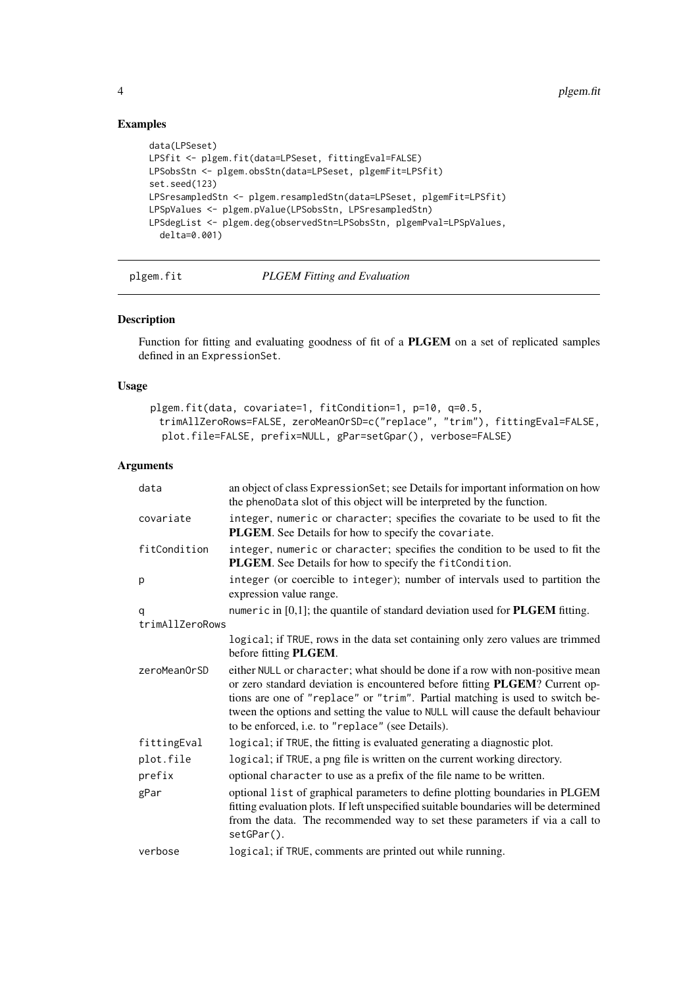# Examples

```
data(LPSeset)
LPSfit <- plgem.fit(data=LPSeset, fittingEval=FALSE)
LPSobsStn <- plgem.obsStn(data=LPSeset, plgemFit=LPSfit)
set.seed(123)
LPSresampledStn <- plgem.resampledStn(data=LPSeset, plgemFit=LPSfit)
LPSpValues <- plgem.pValue(LPSobsStn, LPSresampledStn)
LPSdegList <- plgem.deg(observedStn=LPSobsStn, plgemPval=LPSpValues,
  delta=0.001)
```
#### <span id="page-3-1"></span>plgem.fit *PLGEM Fitting and Evaluation*

# Description

Function for fitting and evaluating goodness of fit of a PLGEM on a set of replicated samples defined in an ExpressionSet.

# Usage

```
plgem.fit(data, covariate=1, fitCondition=1, p=10, q=0.5,
 trimAllZeroRows=FALSE, zeroMeanOrSD=c("replace", "trim"), fittingEval=FALSE,
 plot.file=FALSE, prefix=NULL, gPar=setGpar(), verbose=FALSE)
```
#### Arguments

| data            | an object of class ExpressionSet; see Details for important information on how<br>the phenoData slot of this object will be interpreted by the function.                                                                                                                                                                                                                             |
|-----------------|--------------------------------------------------------------------------------------------------------------------------------------------------------------------------------------------------------------------------------------------------------------------------------------------------------------------------------------------------------------------------------------|
| covariate       | integer, numeric or character; specifies the covariate to be used to fit the<br>PLGEM. See Details for how to specify the covariate.                                                                                                                                                                                                                                                 |
| fitCondition    | integer, numeric or character; specifies the condition to be used to fit the<br>PLGEM. See Details for how to specify the fitCondition.                                                                                                                                                                                                                                              |
| p               | integer (or coercible to integer); number of intervals used to partition the<br>expression value range.                                                                                                                                                                                                                                                                              |
| q               | numeric in $[0,1]$ ; the quantile of standard deviation used for <b>PLGEM</b> fitting.                                                                                                                                                                                                                                                                                               |
| trimAllZeroRows |                                                                                                                                                                                                                                                                                                                                                                                      |
|                 | logical; if TRUE, rows in the data set containing only zero values are trimmed<br>before fitting PLGEM.                                                                                                                                                                                                                                                                              |
| zeroMeanOrSD    | either NULL or character; what should be done if a row with non-positive mean<br>or zero standard deviation is encountered before fitting PLGEM? Current op-<br>tions are one of "replace" or "trim". Partial matching is used to switch be-<br>tween the options and setting the value to NULL will cause the default behaviour<br>to be enforced, i.e. to "replace" (see Details). |
| fittingEval     | logical; if TRUE, the fitting is evaluated generating a diagnostic plot.                                                                                                                                                                                                                                                                                                             |
| plot.file       | logical; if TRUE, a png file is written on the current working directory.                                                                                                                                                                                                                                                                                                            |
| prefix          | optional character to use as a prefix of the file name to be written.                                                                                                                                                                                                                                                                                                                |
| gPar            | optional list of graphical parameters to define plotting boundaries in PLGEM<br>fitting evaluation plots. If left unspecified suitable boundaries will be determined<br>from the data. The recommended way to set these parameters if via a call to<br>setGPar().                                                                                                                    |
| verbose         | logical; if TRUE, comments are printed out while running.                                                                                                                                                                                                                                                                                                                            |

<span id="page-3-0"></span>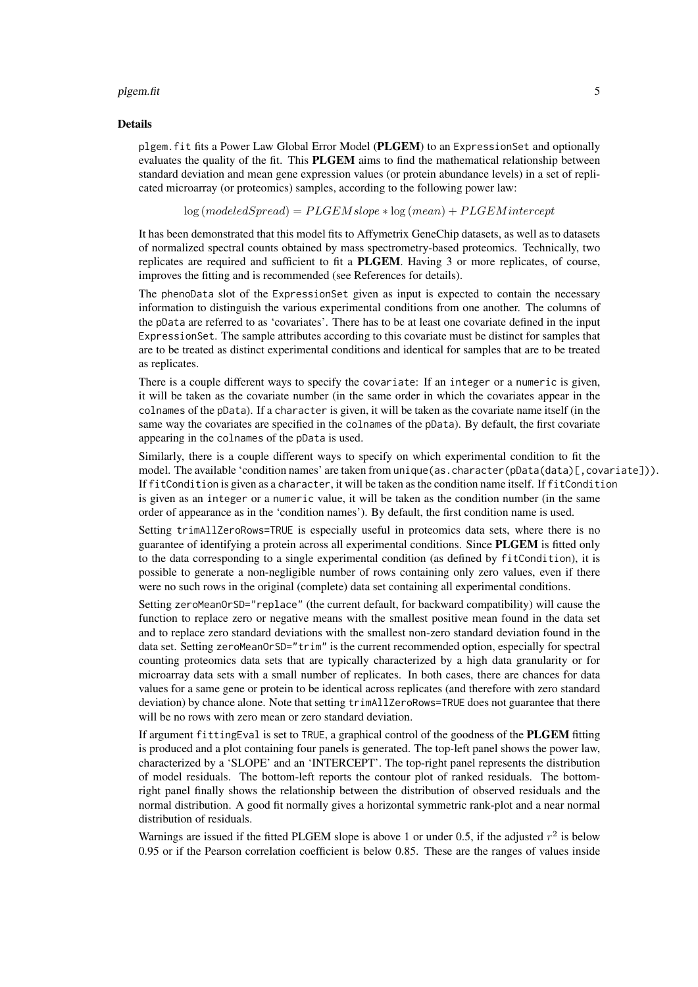#### plgem.fit 55 and 55 and 55 and 55 and 55 and 55 and 55 and 55 and 55 and 55 and 55 and 55 and 55 and 55 and 55

#### Details

plgem.fit fits a Power Law Global Error Model (PLGEM) to an ExpressionSet and optionally evaluates the quality of the fit. This PLGEM aims to find the mathematical relationship between standard deviation and mean gene expression values (or protein abundance levels) in a set of replicated microarray (or proteomics) samples, according to the following power law:

 $log (modeled Spread) = P L G E M slope * log (mean) + P L G E M intercept$ 

It has been demonstrated that this model fits to Affymetrix GeneChip datasets, as well as to datasets of normalized spectral counts obtained by mass spectrometry-based proteomics. Technically, two replicates are required and sufficient to fit a PLGEM. Having 3 or more replicates, of course, improves the fitting and is recommended (see References for details).

The phenoData slot of the ExpressionSet given as input is expected to contain the necessary information to distinguish the various experimental conditions from one another. The columns of the pData are referred to as 'covariates'. There has to be at least one covariate defined in the input ExpressionSet. The sample attributes according to this covariate must be distinct for samples that are to be treated as distinct experimental conditions and identical for samples that are to be treated as replicates.

There is a couple different ways to specify the covariate: If an integer or a numeric is given, it will be taken as the covariate number (in the same order in which the covariates appear in the colnames of the pData). If a character is given, it will be taken as the covariate name itself (in the same way the covariates are specified in the colnames of the pData). By default, the first covariate appearing in the colnames of the pData is used.

Similarly, there is a couple different ways to specify on which experimental condition to fit the model. The available 'condition names' are taken from unique (as.character(pData(data)[.covariate])). If fitCondition is given as a character, it will be taken as the condition name itself. If fitCondition is given as an integer or a numeric value, it will be taken as the condition number (in the same order of appearance as in the 'condition names'). By default, the first condition name is used.

Setting trimAllZeroRows=TRUE is especially useful in proteomics data sets, where there is no guarantee of identifying a protein across all experimental conditions. Since PLGEM is fitted only to the data corresponding to a single experimental condition (as defined by fitCondition), it is possible to generate a non-negligible number of rows containing only zero values, even if there were no such rows in the original (complete) data set containing all experimental conditions.

Setting zeroMeanOrSD="replace" (the current default, for backward compatibility) will cause the function to replace zero or negative means with the smallest positive mean found in the data set and to replace zero standard deviations with the smallest non-zero standard deviation found in the data set. Setting zeroMeanOrSD="trim" is the current recommended option, especially for spectral counting proteomics data sets that are typically characterized by a high data granularity or for microarray data sets with a small number of replicates. In both cases, there are chances for data values for a same gene or protein to be identical across replicates (and therefore with zero standard deviation) by chance alone. Note that setting trimAllZeroRows=TRUE does not guarantee that there will be no rows with zero mean or zero standard deviation.

If argument fittingEval is set to TRUE, a graphical control of the goodness of the PLGEM fitting is produced and a plot containing four panels is generated. The top-left panel shows the power law, characterized by a 'SLOPE' and an 'INTERCEPT'. The top-right panel represents the distribution of model residuals. The bottom-left reports the contour plot of ranked residuals. The bottomright panel finally shows the relationship between the distribution of observed residuals and the normal distribution. A good fit normally gives a horizontal symmetric rank-plot and a near normal distribution of residuals.

Warnings are issued if the fitted PLGEM slope is above 1 or under 0.5, if the adjusted  $r^2$  is below 0.95 or if the Pearson correlation coefficient is below 0.85. These are the ranges of values inside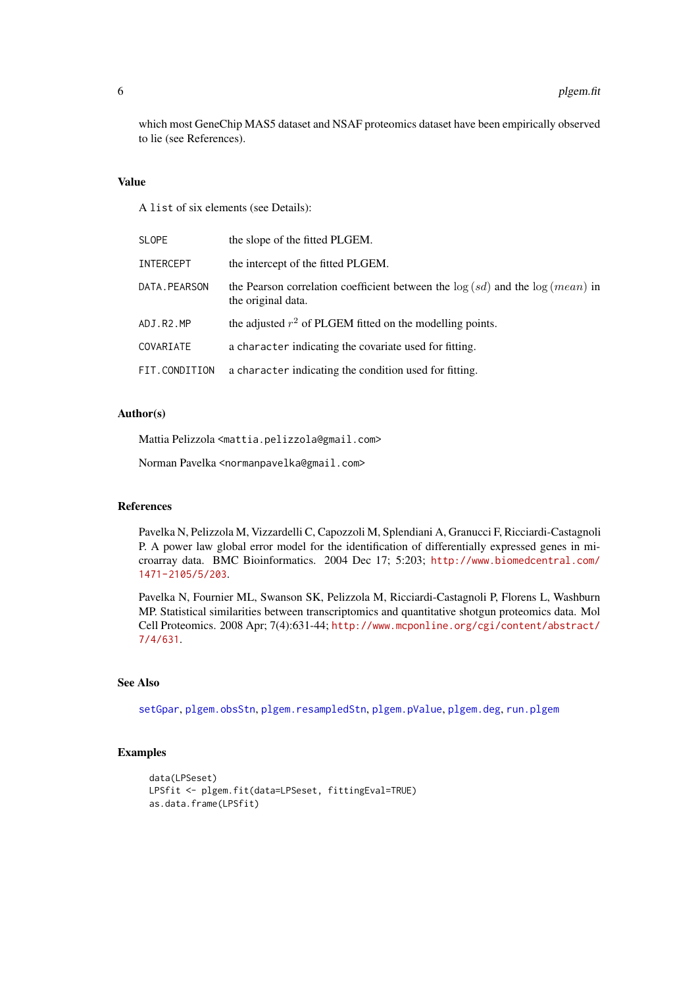which most GeneChip MAS5 dataset and NSAF proteomics dataset have been empirically observed to lie (see References).

#### Value

A list of six elements (see Details):

| <b>SLOPE</b>     | the slope of the fitted PLGEM.                                                                           |
|------------------|----------------------------------------------------------------------------------------------------------|
| <b>INTERCEPT</b> | the intercept of the fitted PLGEM.                                                                       |
| DATA. PEARSON    | the Pearson correlation coefficient between the $log (sd)$ and the $log (mean)$ in<br>the original data. |
| ADJ.R2.MP        | the adjusted $r^2$ of PLGEM fitted on the modelling points.                                              |
| COVARIATE        | a character indicating the covariate used for fitting.                                                   |
| FIT.CONDITION    | a character indicating the condition used for fitting.                                                   |

# Author(s)

Mattia Pelizzola <mattia.pelizzola@gmail.com>

Norman Pavelka <normanpavelka@gmail.com>

# References

Pavelka N, Pelizzola M, Vizzardelli C, Capozzoli M, Splendiani A, Granucci F, Ricciardi-Castagnoli P. A power law global error model for the identification of differentially expressed genes in microarray data. BMC Bioinformatics. 2004 Dec 17; 5:203; [http://www.biomedcentral.com/](http://www.biomedcentral.com/1471-2105/5/203) [1471-2105/5/203](http://www.biomedcentral.com/1471-2105/5/203).

Pavelka N, Fournier ML, Swanson SK, Pelizzola M, Ricciardi-Castagnoli P, Florens L, Washburn MP. Statistical similarities between transcriptomics and quantitative shotgun proteomics data. Mol Cell Proteomics. 2008 Apr; 7(4):631-44; [http://www.mcponline.org/cgi/content/abstract/](http://www.mcponline.org/cgi/content/abstract/7/4/631) [7/4/631](http://www.mcponline.org/cgi/content/abstract/7/4/631).

# See Also

[setGpar](#page-15-1), [plgem.obsStn](#page-6-1), [plgem.resampledStn](#page-9-1), [plgem.pValue](#page-8-1), [plgem.deg](#page-1-1), [run.plgem](#page-12-1)

# Examples

```
data(LPSeset)
LPSfit <- plgem.fit(data=LPSeset, fittingEval=TRUE)
as.data.frame(LPSfit)
```
<span id="page-5-0"></span>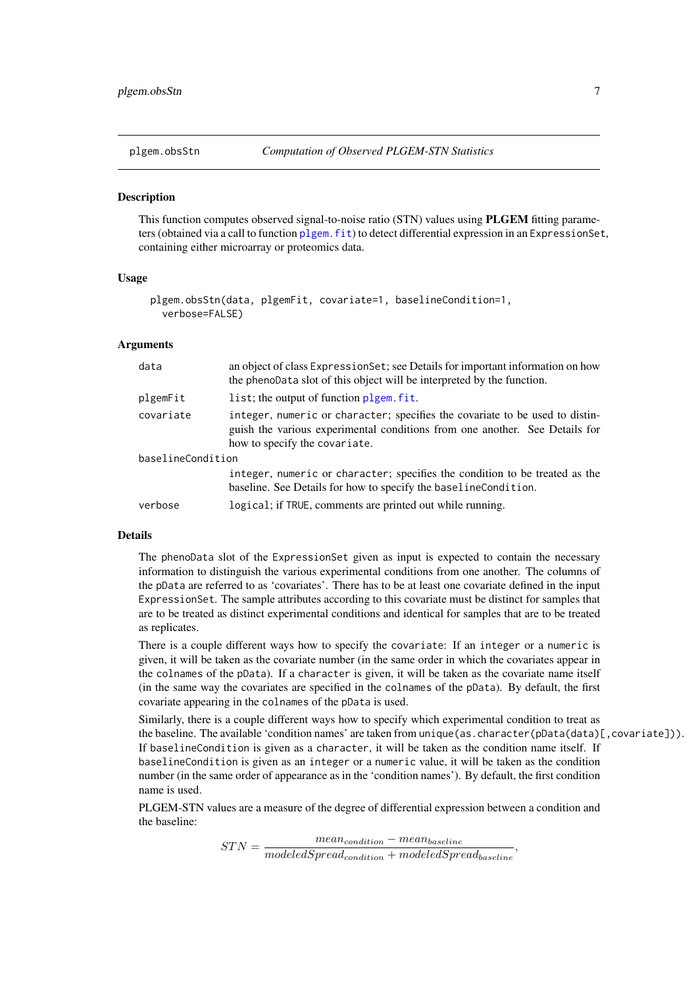<span id="page-6-1"></span><span id="page-6-0"></span>

This function computes observed signal-to-noise ratio (STN) values using PLGEM fitting parameters (obtained via a call to function [plgem.fit](#page-3-1)) to detect differential expression in an ExpressionSet, containing either microarray or proteomics data.

#### Usage

```
plgem.obsStn(data, plgemFit, covariate=1, baselineCondition=1,
 verbose=FALSE)
```
#### Arguments

| data              | an object of class Expression Set; see Details for important information on how<br>the phenoData slot of this object will be interpreted by the function.                                    |  |  |  |  |
|-------------------|----------------------------------------------------------------------------------------------------------------------------------------------------------------------------------------------|--|--|--|--|
| plgemFit          | list; the output of function plgem. fit.                                                                                                                                                     |  |  |  |  |
| covariate         | integer, numeric or character; specifies the covariate to be used to distin-<br>guish the various experimental conditions from one another. See Details for<br>how to specify the covariate. |  |  |  |  |
| baselineCondition |                                                                                                                                                                                              |  |  |  |  |
|                   | integer, numeric or character; specifies the condition to be treated as the<br>baseline. See Details for how to specify the baselineCondition.                                               |  |  |  |  |
| verbose           | logical; if TRUE, comments are printed out while running.                                                                                                                                    |  |  |  |  |

#### Details

The phenoData slot of the ExpressionSet given as input is expected to contain the necessary information to distinguish the various experimental conditions from one another. The columns of the pData are referred to as 'covariates'. There has to be at least one covariate defined in the input ExpressionSet. The sample attributes according to this covariate must be distinct for samples that are to be treated as distinct experimental conditions and identical for samples that are to be treated as replicates.

There is a couple different ways how to specify the covariate: If an integer or a numeric is given, it will be taken as the covariate number (in the same order in which the covariates appear in the colnames of the pData). If a character is given, it will be taken as the covariate name itself (in the same way the covariates are specified in the colnames of the pData). By default, the first covariate appearing in the colnames of the pData is used.

Similarly, there is a couple different ways how to specify which experimental condition to treat as the baseline. The available 'condition names' are taken from unique(as.character(pData(data)[,covariate])). If baselineCondition is given as a character, it will be taken as the condition name itself. If baselineCondition is given as an integer or a numeric value, it will be taken as the condition number (in the same order of appearance as in the 'condition names'). By default, the first condition name is used.

PLGEM-STN values are a measure of the degree of differential expression between a condition and the baseline:

> $STN = \frac{mean_{condition} - mean_{baseline}}{1 + M}$  $\overline{modeledSpeed_{condition} + modeledSpread_{baseline}},$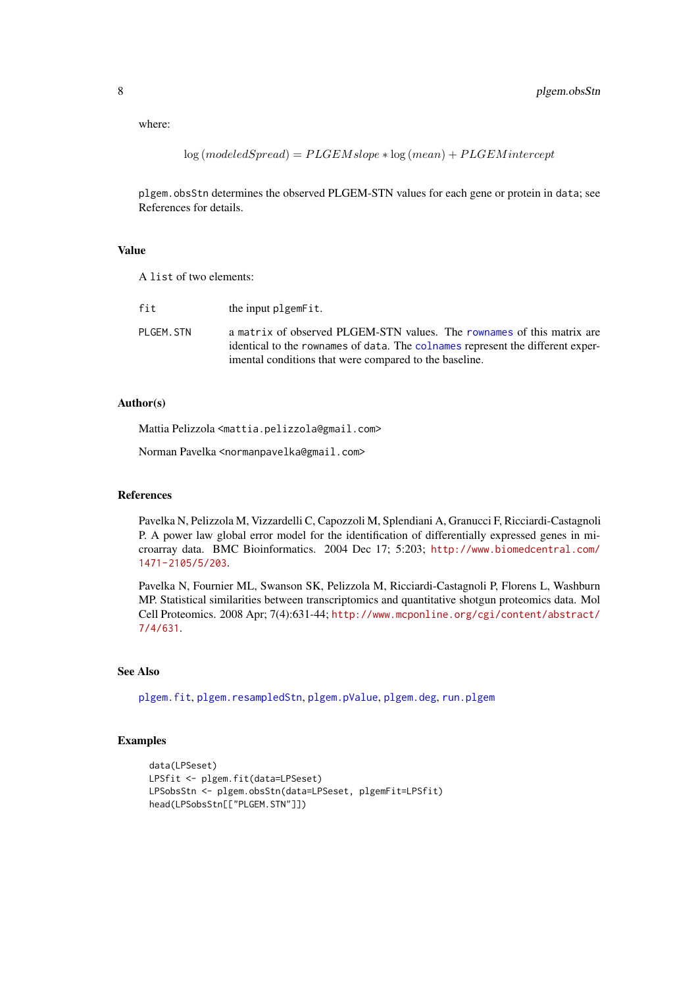<span id="page-7-0"></span>where:

 $log (modeled Spread) = P L GEM slope * log (mean) + P L GEM intercept$ 

plgem.obsStn determines the observed PLGEM-STN values for each gene or protein in data; see References for details.

# Value

A list of two elements:

| fit        | the input plgemetit.                                                                                                                                                                                               |
|------------|--------------------------------------------------------------------------------------------------------------------------------------------------------------------------------------------------------------------|
| PLGEM. STN | a matrix of observed PLGEM-STN values. The rownames of this matrix are<br>identical to the rownames of data. The colnames represent the different exper-<br>imental conditions that were compared to the baseline. |

# Author(s)

Mattia Pelizzola <mattia.pelizzola@gmail.com>

Norman Pavelka <normanpavelka@gmail.com>

## References

Pavelka N, Pelizzola M, Vizzardelli C, Capozzoli M, Splendiani A, Granucci F, Ricciardi-Castagnoli P. A power law global error model for the identification of differentially expressed genes in microarray data. BMC Bioinformatics. 2004 Dec 17; 5:203; [http://www.biomedcentral.com/](http://www.biomedcentral.com/1471-2105/5/203) [1471-2105/5/203](http://www.biomedcentral.com/1471-2105/5/203).

Pavelka N, Fournier ML, Swanson SK, Pelizzola M, Ricciardi-Castagnoli P, Florens L, Washburn MP. Statistical similarities between transcriptomics and quantitative shotgun proteomics data. Mol Cell Proteomics. 2008 Apr; 7(4):631-44; [http://www.mcponline.org/cgi/content/abstract/](http://www.mcponline.org/cgi/content/abstract/7/4/631) [7/4/631](http://www.mcponline.org/cgi/content/abstract/7/4/631).

#### See Also

[plgem.fit](#page-3-1), [plgem.resampledStn](#page-9-1), [plgem.pValue](#page-8-1), [plgem.deg](#page-1-1), [run.plgem](#page-12-1)

# Examples

```
data(LPSeset)
LPSfit <- plgem.fit(data=LPSeset)
LPSobsStn <- plgem.obsStn(data=LPSeset, plgemFit=LPSfit)
head(LPSobsStn[["PLGEM.STN"]])
```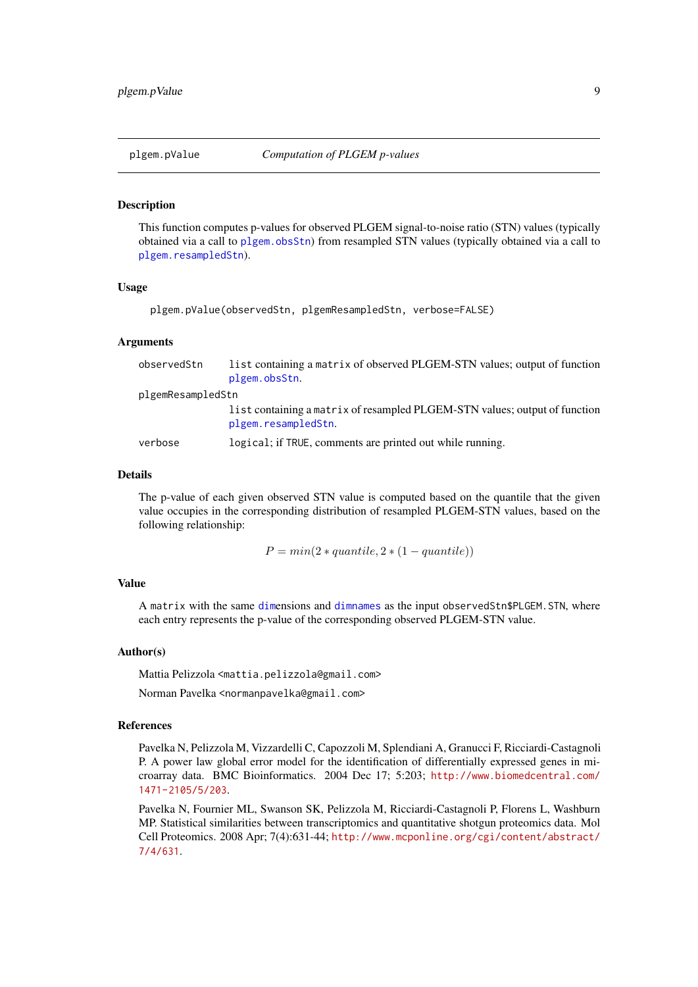<span id="page-8-1"></span><span id="page-8-0"></span>

This function computes p-values for observed PLGEM signal-to-noise ratio (STN) values (typically obtained via a call to [plgem.obsStn](#page-6-1)) from resampled STN values (typically obtained via a call to [plgem.resampledStn](#page-9-1)).

# Usage

```
plgem.pValue(observedStn, plgemResampledStn, verbose=FALSE)
```
# Arguments

| observedStn       | list containing a matrix of observed PLGEM-STN values; output of function<br>plgem.obsStn.        |  |  |  |  |  |
|-------------------|---------------------------------------------------------------------------------------------------|--|--|--|--|--|
| plgemResampledStn |                                                                                                   |  |  |  |  |  |
|                   | list containing a matrix of resampled PLGEM-STN values; output of function<br>plgem.resampledStn. |  |  |  |  |  |
| verbose           | logical; if TRUE, comments are printed out while running.                                         |  |  |  |  |  |

# Details

The p-value of each given observed STN value is computed based on the quantile that the given value occupies in the corresponding distribution of resampled PLGEM-STN values, based on the following relationship:

 $P = min(2 * quantile, 2 * (1 - quantile))$ 

# Value

A matrix with the same [dim](#page-0-0)ensions and [dimnames](#page-0-0) as the input observedStn\$PLGEM.STN, where each entry represents the p-value of the corresponding observed PLGEM-STN value.

#### Author(s)

Mattia Pelizzola <mattia.pelizzola@gmail.com>

Norman Pavelka <normanpavelka@gmail.com>

#### References

Pavelka N, Pelizzola M, Vizzardelli C, Capozzoli M, Splendiani A, Granucci F, Ricciardi-Castagnoli P. A power law global error model for the identification of differentially expressed genes in microarray data. BMC Bioinformatics. 2004 Dec 17; 5:203; [http://www.biomedcentral.com/](http://www.biomedcentral.com/1471-2105/5/203) [1471-2105/5/203](http://www.biomedcentral.com/1471-2105/5/203).

Pavelka N, Fournier ML, Swanson SK, Pelizzola M, Ricciardi-Castagnoli P, Florens L, Washburn MP. Statistical similarities between transcriptomics and quantitative shotgun proteomics data. Mol Cell Proteomics. 2008 Apr; 7(4):631-44; [http://www.mcponline.org/cgi/content/abstract/](http://www.mcponline.org/cgi/content/abstract/7/4/631) [7/4/631](http://www.mcponline.org/cgi/content/abstract/7/4/631).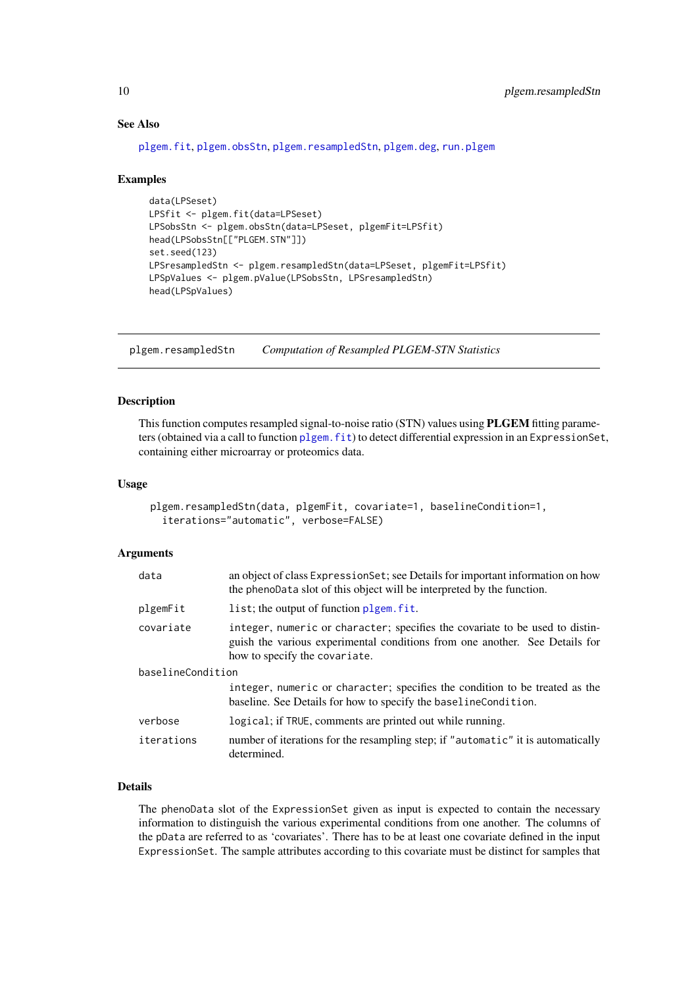### See Also

```
plgem.fit, plgem.obsStn, plgem.resampledStn, plgem.deg, run.plgem
```
#### Examples

```
data(LPSeset)
LPSfit <- plgem.fit(data=LPSeset)
LPSobsStn <- plgem.obsStn(data=LPSeset, plgemFit=LPSfit)
head(LPSobsStn[["PLGEM.STN"]])
set.seed(123)
LPSresampledStn <- plgem.resampledStn(data=LPSeset, plgemFit=LPSfit)
LPSpValues <- plgem.pValue(LPSobsStn, LPSresampledStn)
head(LPSpValues)
```
<span id="page-9-1"></span>plgem.resampledStn *Computation of Resampled PLGEM-STN Statistics*

### Description

This function computes resampled signal-to-noise ratio (STN) values using PLGEM fitting parameters (obtained via a call to function [plgem.fit](#page-3-1)) to detect differential expression in an ExpressionSet, containing either microarray or proteomics data.

# Usage

```
plgem.resampledStn(data, plgemFit, covariate=1, baselineCondition=1,
  iterations="automatic", verbose=FALSE)
```
### Arguments

| data              | an object of class ExpressionSet; see Details for important information on how<br>the phenoData slot of this object will be interpreted by the function.                                     |  |  |  |
|-------------------|----------------------------------------------------------------------------------------------------------------------------------------------------------------------------------------------|--|--|--|
| plgemFit          | list; the output of function plgem, fit.                                                                                                                                                     |  |  |  |
| covariate         | integer, numeric or character; specifies the covariate to be used to distin-<br>guish the various experimental conditions from one another. See Details for<br>how to specify the covariate. |  |  |  |
| baselineCondition |                                                                                                                                                                                              |  |  |  |
|                   | integer, numeric or character; specifies the condition to be treated as the<br>baseline. See Details for how to specify the baseline Condition.                                              |  |  |  |
| verbose           | logical; if TRUE, comments are printed out while running.                                                                                                                                    |  |  |  |
| iterations        | number of iterations for the resampling step; if "automatic" it is automatically<br>determined.                                                                                              |  |  |  |

#### Details

The phenoData slot of the ExpressionSet given as input is expected to contain the necessary information to distinguish the various experimental conditions from one another. The columns of the pData are referred to as 'covariates'. There has to be at least one covariate defined in the input ExpressionSet. The sample attributes according to this covariate must be distinct for samples that

<span id="page-9-0"></span>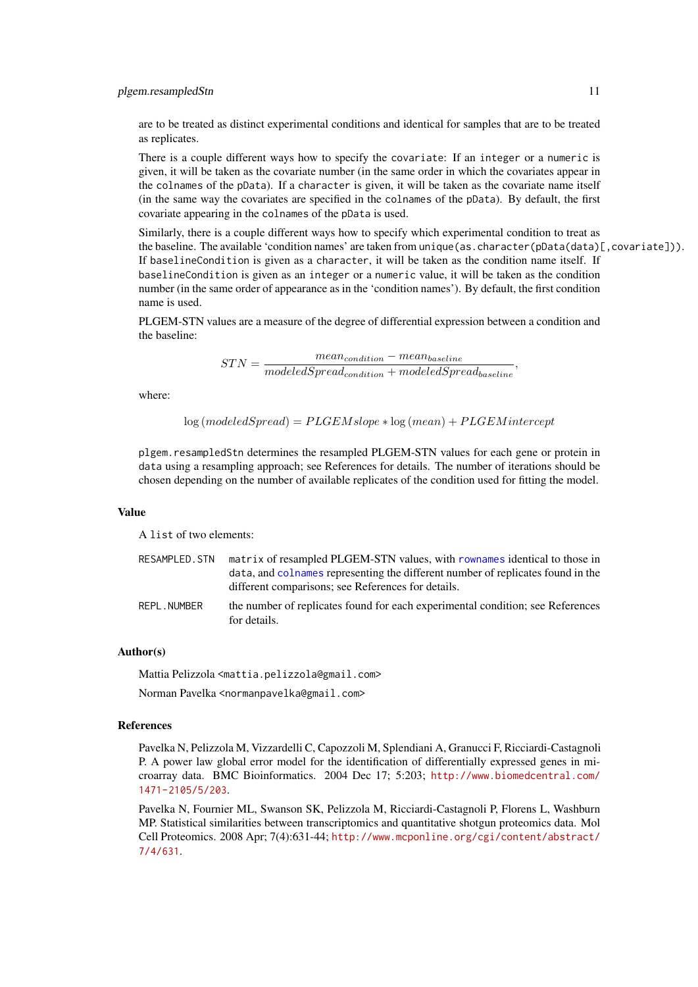<span id="page-10-0"></span>are to be treated as distinct experimental conditions and identical for samples that are to be treated as replicates.

There is a couple different ways how to specify the covariate: If an integer or a numeric is given, it will be taken as the covariate number (in the same order in which the covariates appear in the colnames of the pData). If a character is given, it will be taken as the covariate name itself (in the same way the covariates are specified in the colnames of the pData). By default, the first covariate appearing in the colnames of the pData is used.

Similarly, there is a couple different ways how to specify which experimental condition to treat as the baseline. The available 'condition names' are taken from unique(as.character(pData(data)[, covariate])). If baselineCondition is given as a character, it will be taken as the condition name itself. If baselineCondition is given as an integer or a numeric value, it will be taken as the condition number (in the same order of appearance as in the 'condition names'). By default, the first condition name is used.

,

PLGEM-STN values are a measure of the degree of differential expression between a condition and the baseline:

$$
STN = \frac{mean_{condition} - mean_{baseline}}{modeledSpred_{condition} + modeledSpred_{baseline}}
$$

where:

 $log (modeled Spread) = PLGEM slope * log (mean) + PLGEM intercept$ 

plgem.resampledStn determines the resampled PLGEM-STN values for each gene or protein in data using a resampling approach; see References for details. The number of iterations should be chosen depending on the number of available replicates of the condition used for fitting the model.

#### Value

A list of two elements:

| RESAMPLED.STN               | matrix of resampled PLGEM-STN values, with rownames identical to those in<br>data, and colnames representing the different number of replicates found in the |
|-----------------------------|--------------------------------------------------------------------------------------------------------------------------------------------------------------|
|                             | different comparisons; see References for details.                                                                                                           |
| <b>DEDI</b><br>$\mathbf{F}$ | $\mathbf{A}$ . The set of the set of $\mathbf{C}$ and $\mathbf{C}$ are set of the set of the set of $\mathbf{A}$ . The $\mathbf{C}$ are set of               |

REPL. NUMBER the number of replicates found for each experimental condition; see References for details.

#### Author(s)

Mattia Pelizzola <mattia.pelizzola@gmail.com>

Norman Pavelka <normanpavelka@gmail.com>

# References

Pavelka N, Pelizzola M, Vizzardelli C, Capozzoli M, Splendiani A, Granucci F, Ricciardi-Castagnoli P. A power law global error model for the identification of differentially expressed genes in microarray data. BMC Bioinformatics. 2004 Dec 17; 5:203; [http://www.biomedcentral.com/](http://www.biomedcentral.com/1471-2105/5/203) [1471-2105/5/203](http://www.biomedcentral.com/1471-2105/5/203).

Pavelka N, Fournier ML, Swanson SK, Pelizzola M, Ricciardi-Castagnoli P, Florens L, Washburn MP. Statistical similarities between transcriptomics and quantitative shotgun proteomics data. Mol Cell Proteomics. 2008 Apr; 7(4):631-44; [http://www.mcponline.org/cgi/content/abstract/](http://www.mcponline.org/cgi/content/abstract/7/4/631) [7/4/631](http://www.mcponline.org/cgi/content/abstract/7/4/631).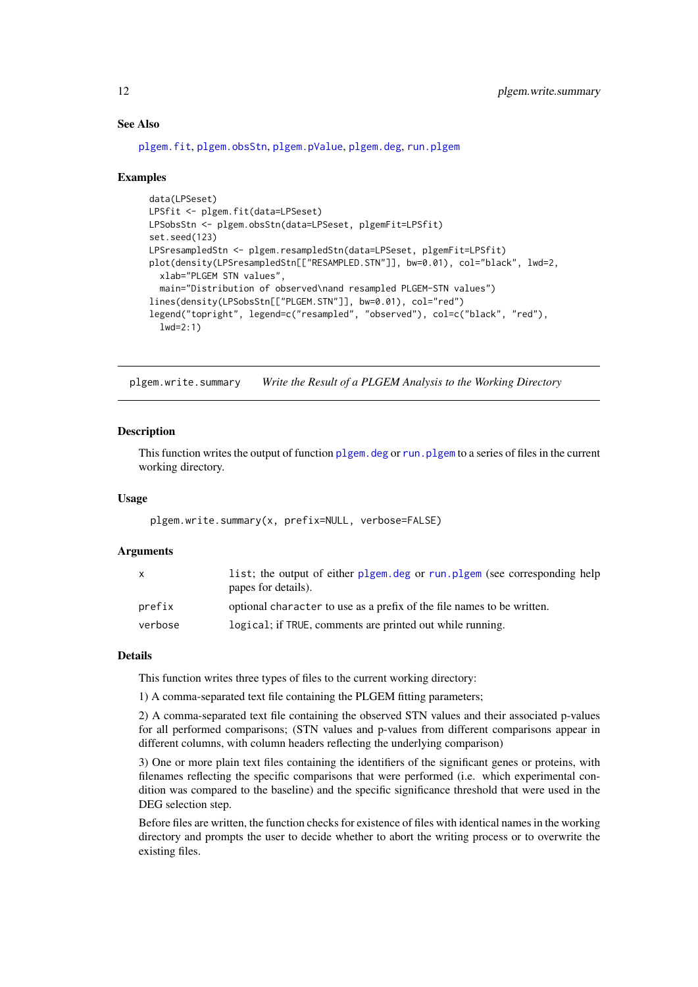#### See Also

[plgem.fit](#page-3-1), [plgem.obsStn](#page-6-1), [plgem.pValue](#page-8-1), [plgem.deg](#page-1-1), [run.plgem](#page-12-1)

#### Examples

```
data(LPSeset)
LPSfit <- plgem.fit(data=LPSeset)
LPSobsStn <- plgem.obsStn(data=LPSeset, plgemFit=LPSfit)
set.seed(123)
LPSresampledStn <- plgem.resampledStn(data=LPSeset, plgemFit=LPSfit)
plot(density(LPSresampledStn[["RESAMPLED.STN"]], bw=0.01), col="black", lwd=2,
 xlab="PLGEM STN values",
 main="Distribution of observed\nand resampled PLGEM-STN values")
lines(density(LPSobsStn[["PLGEM.STN"]], bw=0.01), col="red")
legend("topright", legend=c("resampled", "observed"), col=c("black", "red"),
 lwd=2:1)
```
<span id="page-11-1"></span>plgem.write.summary *Write the Result of a PLGEM Analysis to the Working Directory*

# Description

This function writes the output of function [plgem.deg](#page-1-1) or [run.plgem](#page-12-1) to a series of files in the current working directory.

### Usage

```
plgem.write.summary(x, prefix=NULL, verbose=FALSE)
```
#### Arguments

| $\mathsf{x}$ | list; the output of either plgem.deg or run.plgem (see corresponding help<br>papes for details). |
|--------------|--------------------------------------------------------------------------------------------------|
| prefix       | optional character to use as a prefix of the file names to be written.                           |
| verbose      | logical; if TRUE, comments are printed out while running.                                        |

#### Details

This function writes three types of files to the current working directory:

1) A comma-separated text file containing the PLGEM fitting parameters;

2) A comma-separated text file containing the observed STN values and their associated p-values for all performed comparisons; (STN values and p-values from different comparisons appear in different columns, with column headers reflecting the underlying comparison)

3) One or more plain text files containing the identifiers of the significant genes or proteins, with filenames reflecting the specific comparisons that were performed (i.e. which experimental condition was compared to the baseline) and the specific significance threshold that were used in the DEG selection step.

Before files are written, the function checks for existence of files with identical names in the working directory and prompts the user to decide whether to abort the writing process or to overwrite the existing files.

<span id="page-11-0"></span>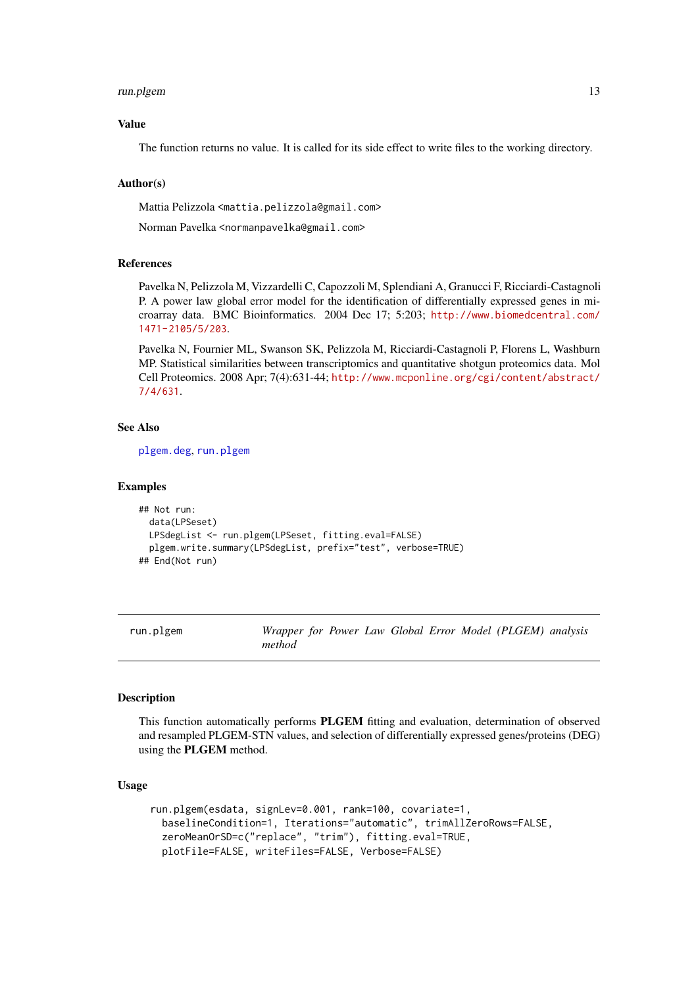#### <span id="page-12-0"></span>run.plgem to the contract of the contract of the contract of the contract of the contract of the contract of the contract of the contract of the contract of the contract of the contract of the contract of the contract of t

#### Value

The function returns no value. It is called for its side effect to write files to the working directory.

#### Author(s)

Mattia Pelizzola <mattia.pelizzola@gmail.com>

Norman Pavelka <normanpavelka@gmail.com>

# References

Pavelka N, Pelizzola M, Vizzardelli C, Capozzoli M, Splendiani A, Granucci F, Ricciardi-Castagnoli P. A power law global error model for the identification of differentially expressed genes in microarray data. BMC Bioinformatics. 2004 Dec 17; 5:203; [http://www.biomedcentral.com/](http://www.biomedcentral.com/1471-2105/5/203) [1471-2105/5/203](http://www.biomedcentral.com/1471-2105/5/203).

Pavelka N, Fournier ML, Swanson SK, Pelizzola M, Ricciardi-Castagnoli P, Florens L, Washburn MP. Statistical similarities between transcriptomics and quantitative shotgun proteomics data. Mol Cell Proteomics. 2008 Apr; 7(4):631-44; [http://www.mcponline.org/cgi/content/abstract/](http://www.mcponline.org/cgi/content/abstract/7/4/631) [7/4/631](http://www.mcponline.org/cgi/content/abstract/7/4/631).

#### See Also

[plgem.deg](#page-1-1), [run.plgem](#page-12-1)

#### Examples

```
## Not run:
 data(LPSeset)
  LPSdegList <- run.plgem(LPSeset, fitting.eval=FALSE)
  plgem.write.summary(LPSdegList, prefix="test", verbose=TRUE)
## End(Not run)
```
<span id="page-12-1"></span>run.plgem *Wrapper for Power Law Global Error Model (PLGEM) analysis method*

# Description

This function automatically performs PLGEM fitting and evaluation, determination of observed and resampled PLGEM-STN values, and selection of differentially expressed genes/proteins (DEG) using the PLGEM method.

#### Usage

```
run.plgem(esdata, signLev=0.001, rank=100, covariate=1,
 baselineCondition=1, Iterations="automatic", trimAllZeroRows=FALSE,
 zeroMeanOrSD=c("replace", "trim"), fitting.eval=TRUE,
 plotFile=FALSE, writeFiles=FALSE, Verbose=FALSE)
```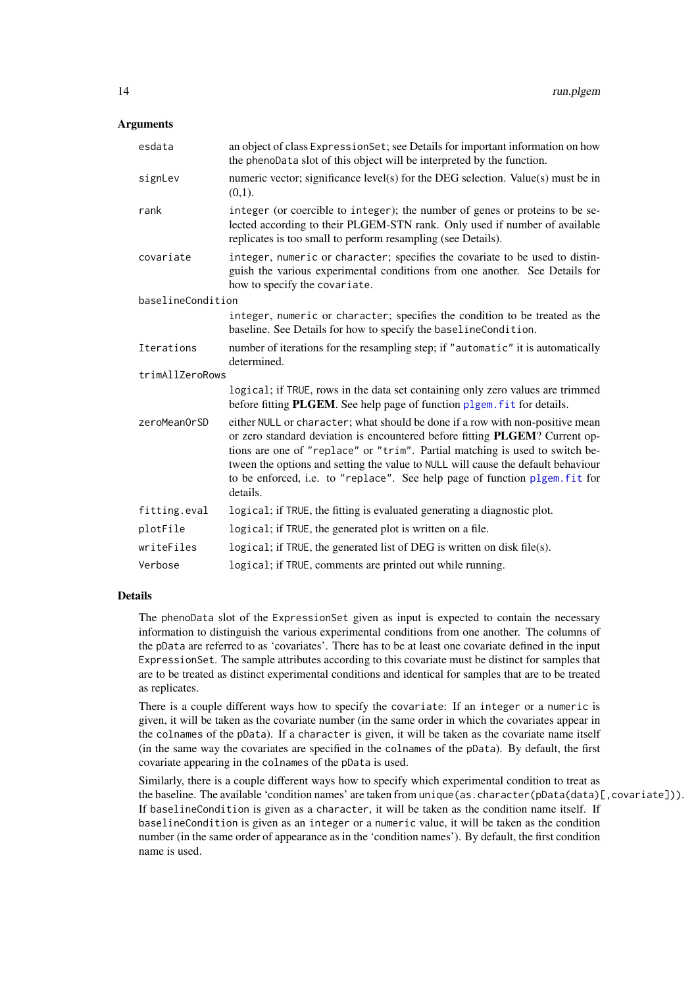# <span id="page-13-0"></span>Arguments

| esdata            | an object of class Expression Set; see Details for important information on how<br>the phenoData slot of this object will be interpreted by the function.                                                                                                                                                                                                                                                                   |
|-------------------|-----------------------------------------------------------------------------------------------------------------------------------------------------------------------------------------------------------------------------------------------------------------------------------------------------------------------------------------------------------------------------------------------------------------------------|
| signLev           | numeric vector; significance level(s) for the DEG selection. Value(s) must be in<br>(0,1).                                                                                                                                                                                                                                                                                                                                  |
| rank              | integer (or coercible to integer); the number of genes or proteins to be se-<br>lected according to their PLGEM-STN rank. Only used if number of available<br>replicates is too small to perform resampling (see Details).                                                                                                                                                                                                  |
| covariate         | integer, numeric or character; specifies the covariate to be used to distin-<br>guish the various experimental conditions from one another. See Details for<br>how to specify the covariate.                                                                                                                                                                                                                                |
| baselineCondition |                                                                                                                                                                                                                                                                                                                                                                                                                             |
|                   | integer, numeric or character; specifies the condition to be treated as the<br>baseline. See Details for how to specify the baselineCondition.                                                                                                                                                                                                                                                                              |
| Iterations        | number of iterations for the resampling step; if "automatic" it is automatically<br>determined.                                                                                                                                                                                                                                                                                                                             |
| trimAllZeroRows   |                                                                                                                                                                                                                                                                                                                                                                                                                             |
|                   | logical; if TRUE, rows in the data set containing only zero values are trimmed<br>before fitting <b>PLGEM</b> . See help page of function plgem. fit for details.                                                                                                                                                                                                                                                           |
| zeroMeanOrSD      | either NULL or character; what should be done if a row with non-positive mean<br>or zero standard deviation is encountered before fitting PLGEM? Current op-<br>tions are one of "replace" or "trim". Partial matching is used to switch be-<br>tween the options and setting the value to NULL will cause the default behaviour<br>to be enforced, i.e. to "replace". See help page of function plgem. fit for<br>details. |
| fitting.eval      | logical; if TRUE, the fitting is evaluated generating a diagnostic plot.                                                                                                                                                                                                                                                                                                                                                    |
| plotFile          | logical; if TRUE, the generated plot is written on a file.                                                                                                                                                                                                                                                                                                                                                                  |
| writeFiles        | logical; if TRUE, the generated list of DEG is written on disk file(s).                                                                                                                                                                                                                                                                                                                                                     |
| Verbose           | logical; if TRUE, comments are printed out while running.                                                                                                                                                                                                                                                                                                                                                                   |

#### Details

The phenoData slot of the ExpressionSet given as input is expected to contain the necessary information to distinguish the various experimental conditions from one another. The columns of the pData are referred to as 'covariates'. There has to be at least one covariate defined in the input ExpressionSet. The sample attributes according to this covariate must be distinct for samples that are to be treated as distinct experimental conditions and identical for samples that are to be treated as replicates.

There is a couple different ways how to specify the covariate: If an integer or a numeric is given, it will be taken as the covariate number (in the same order in which the covariates appear in the colnames of the pData). If a character is given, it will be taken as the covariate name itself (in the same way the covariates are specified in the colnames of the pData). By default, the first covariate appearing in the colnames of the pData is used.

Similarly, there is a couple different ways how to specify which experimental condition to treat as the baseline. The available 'condition names' are taken from unique(as.character(pData(data)[,covariate])). If baselineCondition is given as a character, it will be taken as the condition name itself. If baselineCondition is given as an integer or a numeric value, it will be taken as the condition number (in the same order of appearance as in the 'condition names'). By default, the first condition name is used.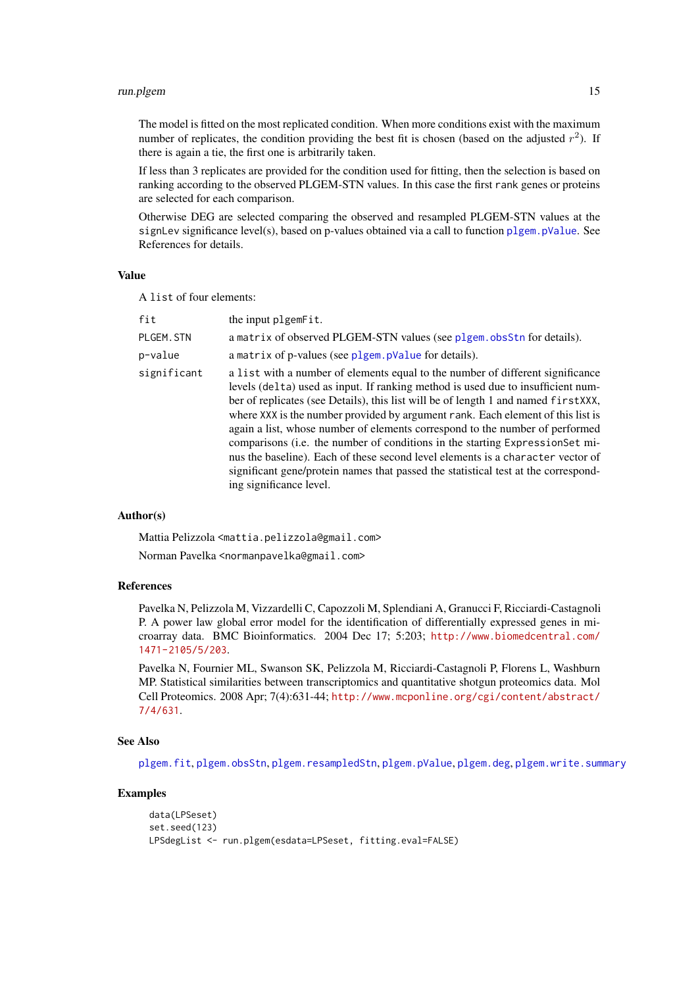#### <span id="page-14-0"></span>run.plgem 15

The model is fitted on the most replicated condition. When more conditions exist with the maximum number of replicates, the condition providing the best fit is chosen (based on the adjusted  $r^2$ ). If there is again a tie, the first one is arbitrarily taken.

If less than 3 replicates are provided for the condition used for fitting, then the selection is based on ranking according to the observed PLGEM-STN values. In this case the first rank genes or proteins are selected for each comparison.

Otherwise DEG are selected comparing the observed and resampled PLGEM-STN values at the signLev significance level(s), based on p-values obtained via a call to function plgem. pValue. See References for details.

# Value

A list of four elements:

| fit         | the input plgemFit.                                                                                                                                                                                                                                                                                                                                                                                                                                                                                                                                                                                                                                                                                              |
|-------------|------------------------------------------------------------------------------------------------------------------------------------------------------------------------------------------------------------------------------------------------------------------------------------------------------------------------------------------------------------------------------------------------------------------------------------------------------------------------------------------------------------------------------------------------------------------------------------------------------------------------------------------------------------------------------------------------------------------|
| PLGEM. STN  | a matrix of observed PLGEM-STN values (see plgem. obsStn for details).                                                                                                                                                                                                                                                                                                                                                                                                                                                                                                                                                                                                                                           |
| p-value     | a matrix of p-values (see plgem. pValue for details).                                                                                                                                                                                                                                                                                                                                                                                                                                                                                                                                                                                                                                                            |
| significant | a list with a number of elements equal to the number of different significance<br>levels (delta) used as input. If ranking method is used due to insufficient num-<br>ber of replicates (see Details), this list will be of length 1 and named first XXX,<br>where XXX is the number provided by argument rank. Each element of this list is<br>again a list, whose number of elements correspond to the number of performed<br>comparisons (i.e. the number of conditions in the starting ExpressionSet mi-<br>nus the baseline). Each of these second level elements is a character vector of<br>significant gene/protein names that passed the statistical test at the correspond-<br>ing significance level. |

#### Author(s)

Mattia Pelizzola <mattia.pelizzola@gmail.com> Norman Pavelka <normanpavelka@gmail.com>

# References

Pavelka N, Pelizzola M, Vizzardelli C, Capozzoli M, Splendiani A, Granucci F, Ricciardi-Castagnoli P. A power law global error model for the identification of differentially expressed genes in microarray data. BMC Bioinformatics. 2004 Dec 17; 5:203; [http://www.biomedcentral.com/](http://www.biomedcentral.com/1471-2105/5/203) [1471-2105/5/203](http://www.biomedcentral.com/1471-2105/5/203).

Pavelka N, Fournier ML, Swanson SK, Pelizzola M, Ricciardi-Castagnoli P, Florens L, Washburn MP. Statistical similarities between transcriptomics and quantitative shotgun proteomics data. Mol Cell Proteomics. 2008 Apr; 7(4):631-44; [http://www.mcponline.org/cgi/content/abstract/](http://www.mcponline.org/cgi/content/abstract/7/4/631) [7/4/631](http://www.mcponline.org/cgi/content/abstract/7/4/631).

# See Also

[plgem.fit](#page-3-1), [plgem.obsStn](#page-6-1), [plgem.resampledStn](#page-9-1), [plgem.pValue](#page-8-1), [plgem.deg](#page-1-1), [plgem.write.summary](#page-11-1)

# Examples

```
data(LPSeset)
set.seed(123)
LPSdegList <- run.plgem(esdata=LPSeset, fitting.eval=FALSE)
```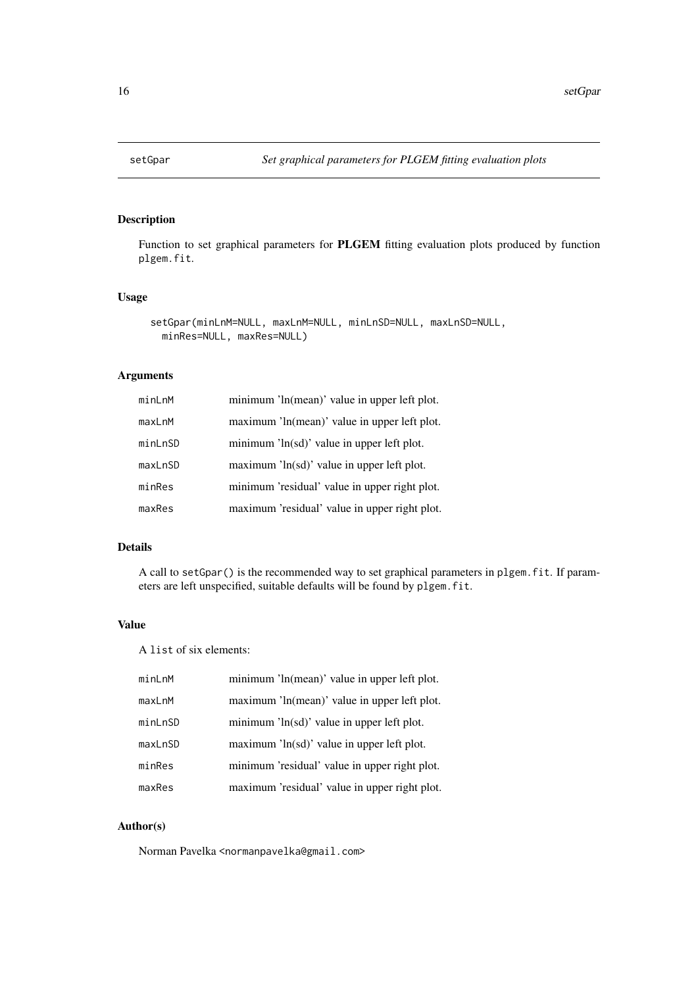<span id="page-15-1"></span><span id="page-15-0"></span>Function to set graphical parameters for PLGEM fitting evaluation plots produced by function plgem.fit.

# Usage

```
setGpar(minLnM=NULL, maxLnM=NULL, minLnSD=NULL, maxLnSD=NULL,
 minRes=NULL, maxRes=NULL)
```
# Arguments

| minLnM  | minimum 'ln(mean)' value in upper left plot.        |
|---------|-----------------------------------------------------|
| maxLnM  | maximum 'ln(mean)' value in upper left plot.        |
| minLnSD | minimum $\ln(\text{sd})'$ value in upper left plot. |
| maxLnSD | maximum $\ln(\text{sd})'$ value in upper left plot. |
| minRes  | minimum 'residual' value in upper right plot.       |
| maxRes  | maximum 'residual' value in upper right plot.       |

# Details

A call to setGpar() is the recommended way to set graphical parameters in plgem.fit. If parameters are left unspecified, suitable defaults will be found by plgem.fit.

# Value

A list of six elements:

| minLnM  | minimum 'ln(mean)' value in upper left plot.        |
|---------|-----------------------------------------------------|
| maxLnM  | maximum 'ln(mean)' value in upper left plot.        |
| minLnSD | minimum 'ln(sd)' value in upper left plot.          |
| maxLnSD | maximum $\ln(\text{sd})'$ value in upper left plot. |
| minRes  | minimum 'residual' value in upper right plot.       |
| maxRes  | maximum 'residual' value in upper right plot.       |

# Author(s)

Norman Pavelka <normanpavelka@gmail.com>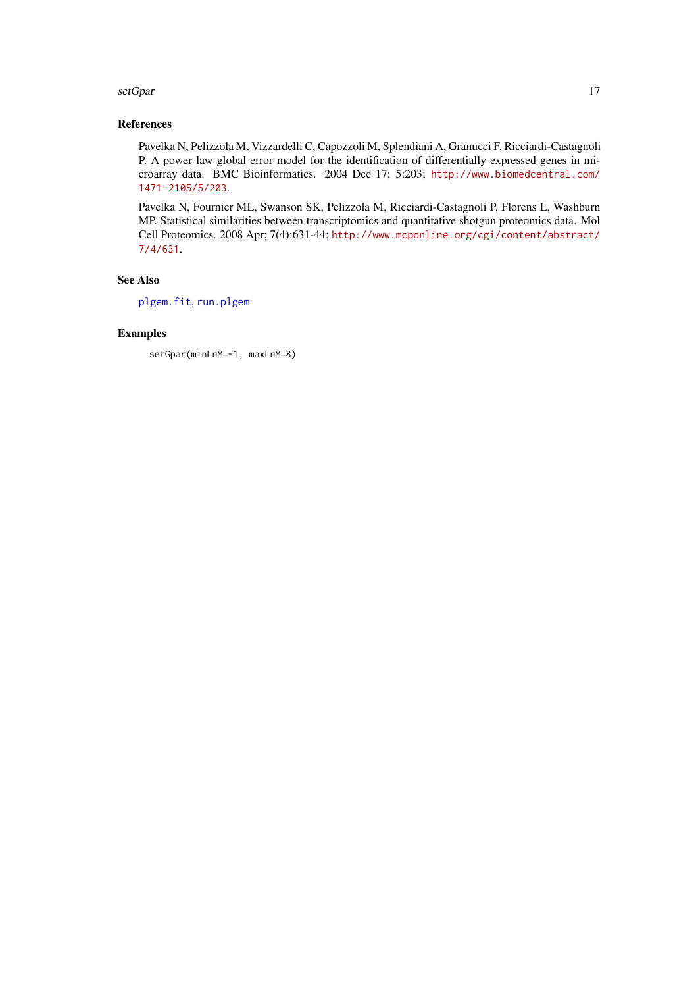#### <span id="page-16-0"></span>setGpar and the setGpar and the setGpar and the setGpar and the setGpar and the setGpar and the setGpar and the setGpar and the setGpar and the setGpar and the setGpar and the setGpar and the setGpar and the setGpar and th

# References

Pavelka N, Pelizzola M, Vizzardelli C, Capozzoli M, Splendiani A, Granucci F, Ricciardi-Castagnoli P. A power law global error model for the identification of differentially expressed genes in microarray data. BMC Bioinformatics. 2004 Dec 17; 5:203; [http://www.biomedcentral.com/](http://www.biomedcentral.com/1471-2105/5/203) [1471-2105/5/203](http://www.biomedcentral.com/1471-2105/5/203).

Pavelka N, Fournier ML, Swanson SK, Pelizzola M, Ricciardi-Castagnoli P, Florens L, Washburn MP. Statistical similarities between transcriptomics and quantitative shotgun proteomics data. Mol Cell Proteomics. 2008 Apr; 7(4):631-44; [http://www.mcponline.org/cgi/content/abstract/](http://www.mcponline.org/cgi/content/abstract/7/4/631) [7/4/631](http://www.mcponline.org/cgi/content/abstract/7/4/631).

# See Also

[plgem.fit](#page-3-1), [run.plgem](#page-12-1)

# Examples

setGpar(minLnM=-1, maxLnM=8)